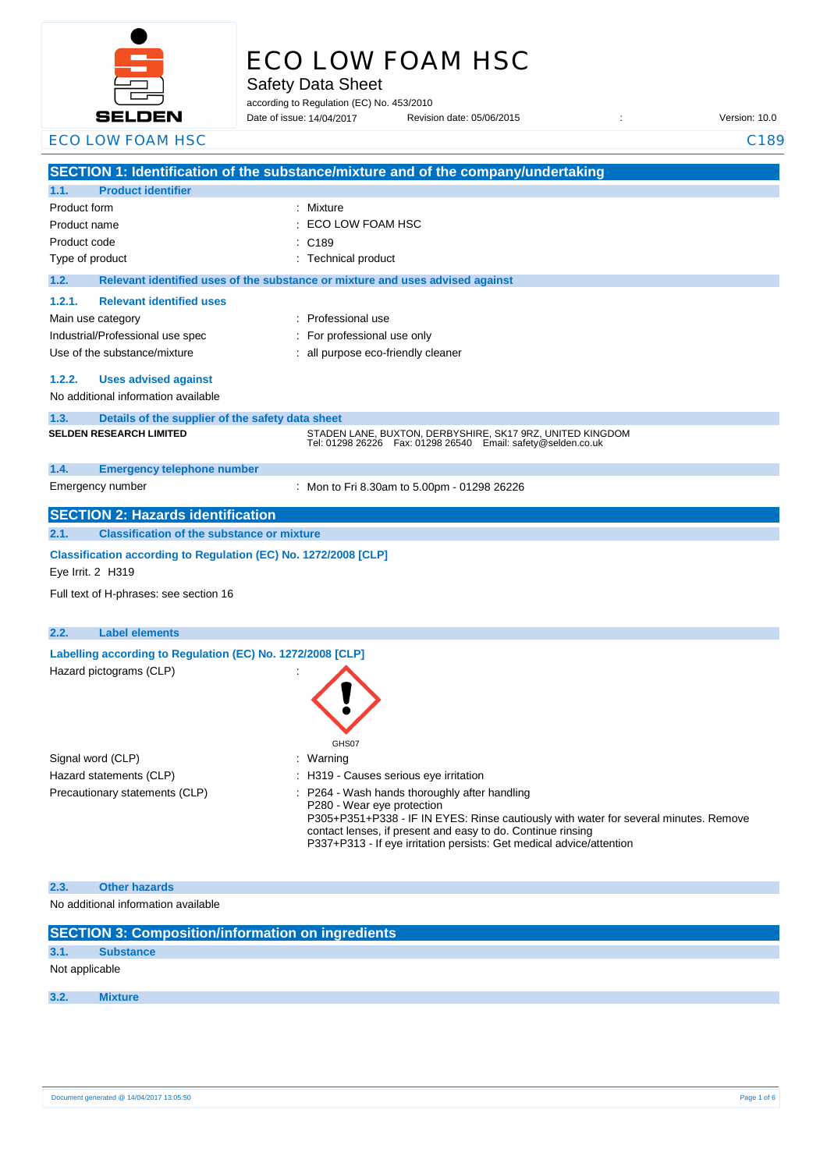

# ECO LOW FOAM HSC

Safety Data Sheet

according to Regulation (EC) No. 453/2010

Date of issue: Revision date: 05/06/2015 : Version: 10.0 Date of issue: 14/04/2017

#### ECO LOW FOAM HSC CONSERVERSION CONSERVERSION CONSERVERSION CONSERVERSION CONSERVERSION CONSERVERSION CONSERVERSION CONSERVERSION CONSERVERSION CONSERVERSION CONSERVERSION CONSERVERSION CONSERVERSION CONSERVERSION CONSERVER

|                   |                                                                 | SECTION 1: Identification of the substance/mixture and of the company/undertaking                                               |
|-------------------|-----------------------------------------------------------------|---------------------------------------------------------------------------------------------------------------------------------|
| 1.1.              | <b>Product identifier</b>                                       |                                                                                                                                 |
| Product form      |                                                                 | Mixture                                                                                                                         |
| Product name      |                                                                 | ECO LOW FOAM HSC                                                                                                                |
| Product code      |                                                                 | C <sub>189</sub>                                                                                                                |
| Type of product   |                                                                 | <b>Technical product</b>                                                                                                        |
| 1.2.              |                                                                 | Relevant identified uses of the substance or mixture and uses advised against                                                   |
| 1.2.1.            | <b>Relevant identified uses</b>                                 |                                                                                                                                 |
|                   | Main use category                                               | Professional use                                                                                                                |
|                   | Industrial/Professional use spec                                | For professional use only                                                                                                       |
|                   | Use of the substance/mixture                                    | : all purpose eco-friendly cleaner                                                                                              |
|                   |                                                                 |                                                                                                                                 |
| 1.2.2.            | <b>Uses advised against</b>                                     |                                                                                                                                 |
|                   | No additional information available                             |                                                                                                                                 |
| 1.3.              | Details of the supplier of the safety data sheet                |                                                                                                                                 |
|                   | <b>SELDEN RESEARCH LIMITED</b>                                  | STADEN LANE, BUXTON, DERBYSHIRE, SK17 9RZ, UNITED KINGDOM<br>Tel: 01298 26226    Fax: 01298 26540    Email: safety@selden.co.uk |
| 1.4.              | <b>Emergency telephone number</b>                               |                                                                                                                                 |
|                   | Emergency number                                                | : Mon to Fri 8.30am to 5.00pm - 01298 26226                                                                                     |
|                   | <b>SECTION 2: Hazards identification</b>                        |                                                                                                                                 |
| 2.1.              | <b>Classification of the substance or mixture</b>               |                                                                                                                                 |
|                   | Classification according to Regulation (EC) No. 1272/2008 [CLP] |                                                                                                                                 |
| Eye Irrit. 2 H319 |                                                                 |                                                                                                                                 |
|                   | Full text of H-phrases: see section 16                          |                                                                                                                                 |
|                   |                                                                 |                                                                                                                                 |
| 2.2.              | <b>Label elements</b>                                           |                                                                                                                                 |
|                   | Labelling according to Regulation (EC) No. 1272/2008 [CLP]      |                                                                                                                                 |
|                   | Hazard pictograms (CLP)                                         |                                                                                                                                 |
|                   |                                                                 |                                                                                                                                 |
|                   |                                                                 |                                                                                                                                 |
|                   |                                                                 |                                                                                                                                 |
|                   |                                                                 | GHS07                                                                                                                           |
|                   | Signal word (CLP)                                               | Warning                                                                                                                         |
|                   | Hazard statements (CLP)                                         | H319 - Causes serious eye irritation                                                                                            |
|                   | Precautionary statements (CLP)                                  | : P264 - Wash hands thoroughly after handling                                                                                   |
|                   |                                                                 | P280 - Wear eye protection<br>P305+P351+P338 - IF IN EYES: Rinse cautiously with water for several minutes. Remove              |
|                   |                                                                 | contact lenses, if present and easy to do. Continue rinsing                                                                     |
|                   |                                                                 | P337+P313 - If eye irritation persists: Get medical advice/attention                                                            |
|                   |                                                                 |                                                                                                                                 |
| 2.3.              | <b>Other hazards</b>                                            |                                                                                                                                 |
|                   | No additional information available                             |                                                                                                                                 |

|  | <b>SECTION 3: Composition/information on ingredients</b> |
|--|----------------------------------------------------------|
|  |                                                          |
|  |                                                          |

# **3.1. Substance**

Not applicable

## **3.2. Mixture**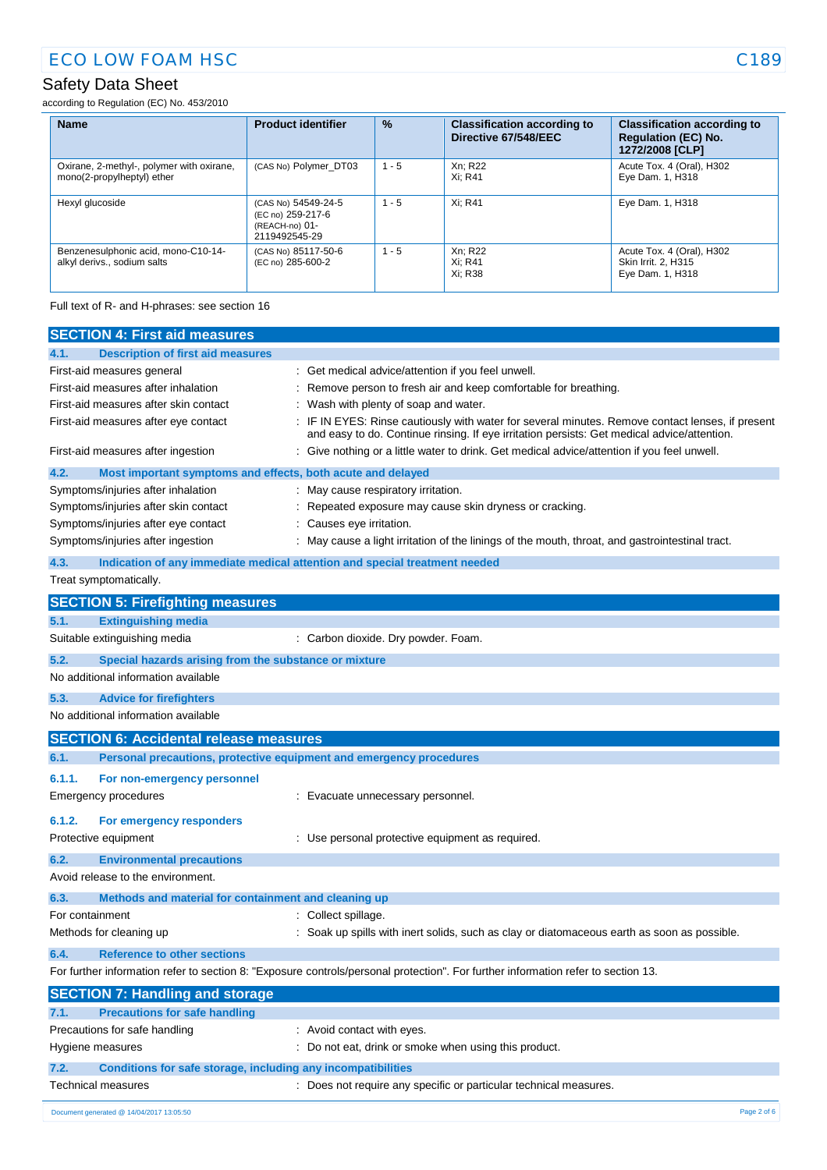according to Regulation (EC) No. 453/2010

| <b>Name</b>                                                             | <b>Product identifier</b>                                                   | $\%$    | <b>Classification according to</b><br>Directive 67/548/EEC | <b>Classification according to</b><br><b>Regulation (EC) No.</b><br>1272/2008 [CLP] |
|-------------------------------------------------------------------------|-----------------------------------------------------------------------------|---------|------------------------------------------------------------|-------------------------------------------------------------------------------------|
| Oxirane, 2-methyl-, polymer with oxirane,<br>mono(2-propylheptyl) ether | (CAS No) Polymer DT03                                                       | $1 - 5$ | Xn; R22<br>Xi: R41                                         | Acute Tox. 4 (Oral), H302<br>Eye Dam. 1, H318                                       |
| Hexyl glucoside                                                         | (CAS No) 54549-24-5<br>(EC no) 259-217-6<br>(REACH-no) 01-<br>2119492545-29 | $1 - 5$ | Xi: R41                                                    | Eye Dam. 1, H318                                                                    |
| Benzenesulphonic acid, mono-C10-14-<br>alkyl derivs., sodium salts      | (CAS No) 85117-50-6<br>(EC no) 285-600-2                                    | $1 - 5$ | Xn; R22<br>Xi: R41<br>Xi: R38                              | Acute Tox. 4 (Oral), H302<br>Skin Irrit. 2, H315<br>Eye Dam. 1, H318                |

Full text of R- and H-phrases: see section 16

| <b>SECTION 4: First aid measures</b>                                               |                                                                                                                                                                                               |
|------------------------------------------------------------------------------------|-----------------------------------------------------------------------------------------------------------------------------------------------------------------------------------------------|
| <b>Description of first aid measures</b><br>4.1.                                   |                                                                                                                                                                                               |
| First-aid measures general                                                         | Get medical advice/attention if you feel unwell.                                                                                                                                              |
| First-aid measures after inhalation                                                | Remove person to fresh air and keep comfortable for breathing.                                                                                                                                |
| First-aid measures after skin contact                                              | Wash with plenty of soap and water.                                                                                                                                                           |
| First-aid measures after eye contact                                               | IF IN EYES: Rinse cautiously with water for several minutes. Remove contact lenses, if present<br>and easy to do. Continue rinsing. If eye irritation persists: Get medical advice/attention. |
| First-aid measures after ingestion                                                 | Give nothing or a little water to drink. Get medical advice/attention if you feel unwell.                                                                                                     |
| 4.2.<br>Most important symptoms and effects, both acute and delayed                |                                                                                                                                                                                               |
| Symptoms/injuries after inhalation                                                 | May cause respiratory irritation.                                                                                                                                                             |
| Symptoms/injuries after skin contact                                               | Repeated exposure may cause skin dryness or cracking.                                                                                                                                         |
| Symptoms/injuries after eye contact                                                | Causes eye irritation.                                                                                                                                                                        |
| Symptoms/injuries after ingestion                                                  | May cause a light irritation of the linings of the mouth, throat, and gastrointestinal tract.                                                                                                 |
| 4.3.<br>Indication of any immediate medical attention and special treatment needed |                                                                                                                                                                                               |
| Treat symptomatically.                                                             |                                                                                                                                                                                               |
| <b>SECTION 5: Firefighting measures</b>                                            |                                                                                                                                                                                               |
| <b>Extinguishing media</b><br>5.1.                                                 |                                                                                                                                                                                               |
| Suitable extinguishing media                                                       | : Carbon dioxide. Dry powder. Foam.                                                                                                                                                           |
| 5.2.<br>Special hazards arising from the substance or mixture                      |                                                                                                                                                                                               |
| No additional information available                                                |                                                                                                                                                                                               |
| 5.3.<br><b>Advice for firefighters</b>                                             |                                                                                                                                                                                               |
| No additional information available                                                |                                                                                                                                                                                               |
| <b>SECTION 6: Accidental release measures</b>                                      |                                                                                                                                                                                               |
| Personal precautions, protective equipment and emergency procedures<br>6.1.        |                                                                                                                                                                                               |
| 6.1.1.<br>For non-emergency personnel                                              |                                                                                                                                                                                               |
| Emergency procedures                                                               | Evacuate unnecessary personnel.                                                                                                                                                               |
| 6.1.2.<br>For emergency responders                                                 |                                                                                                                                                                                               |
| Protective equipment                                                               | : Use personal protective equipment as required.                                                                                                                                              |
| 6.2.<br><b>Environmental precautions</b>                                           |                                                                                                                                                                                               |
| Avoid release to the environment.                                                  |                                                                                                                                                                                               |
| 6.3.<br>Methods and material for containment and cleaning up                       |                                                                                                                                                                                               |
| For containment                                                                    | Collect spillage.                                                                                                                                                                             |
| Methods for cleaning up                                                            | Soak up spills with inert solids, such as clay or diatomaceous earth as soon as possible.                                                                                                     |
| <b>Reference to other sections</b><br>6.4.                                         |                                                                                                                                                                                               |
|                                                                                    | For further information refer to section 8: "Exposure controls/personal protection". For further information refer to section 13.                                                             |
| <b>SECTION 7: Handling and storage</b>                                             |                                                                                                                                                                                               |
| <b>Precautions for safe handling</b><br>7.1.                                       |                                                                                                                                                                                               |
| Precautions for safe handling                                                      | : Avoid contact with eyes.                                                                                                                                                                    |
| Hygiene measures                                                                   | : Do not eat, drink or smoke when using this product.                                                                                                                                         |
| Conditions for safe storage, including any incompatibilities<br>7.2.               |                                                                                                                                                                                               |
| Technical measures                                                                 | : Does not require any specific or particular technical measures.                                                                                                                             |
|                                                                                    |                                                                                                                                                                                               |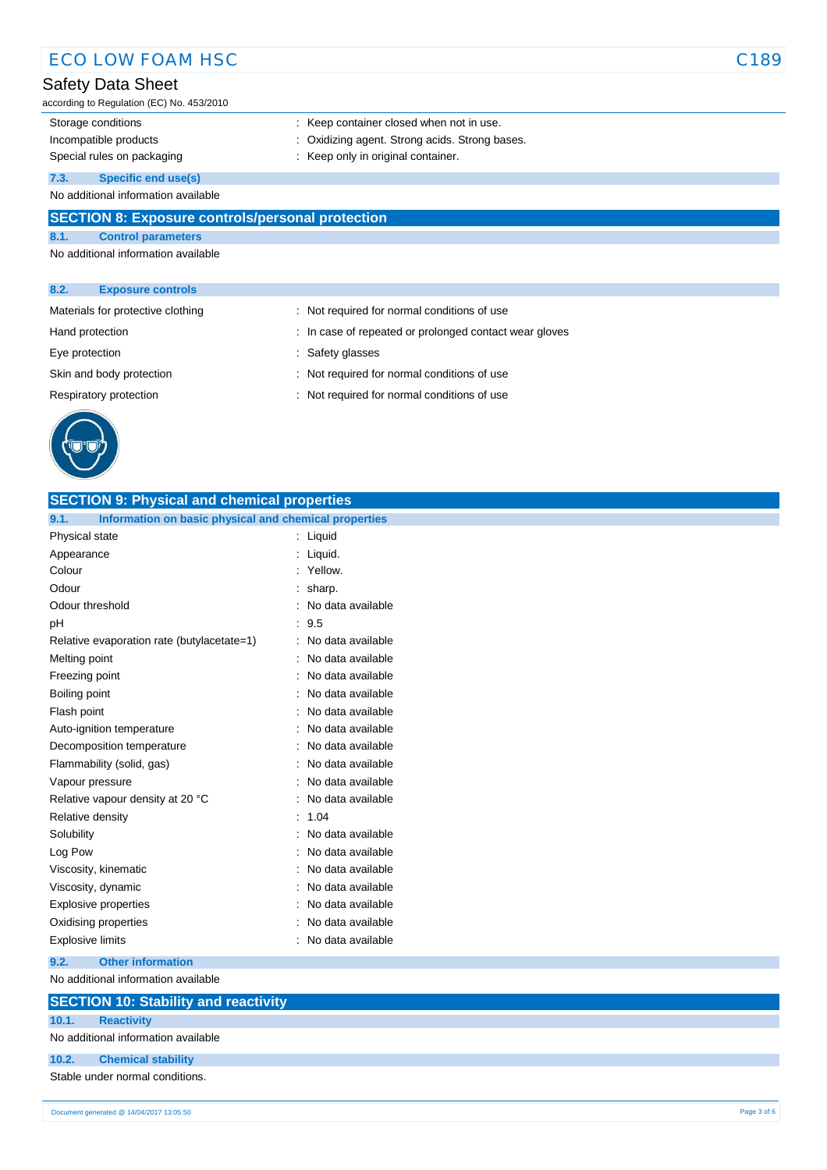## ECO LOW FOAM HSC CONSERVERSE CONSERVERSE CONSERVERSE CONSERVERSE CONSERVERSE CONSERVERSE CONSERVERSE CONSERVERSE CONSERVERSE CONSERVERSE CONSERVERSE CONSERVERS CONSERVERS CONSERVERS CONSERVERS CONSERVERS CONSERVERS CONSERV

### Safety Data Sheet

according to Regulation (EC) No. 453/2010

- Storage conditions **Storage conditions** : Keep container closed when not in use.
- Incompatible products : Oxidizing agent. Strong acids. Strong bases.
- Special rules on packaging **interpretate that is example to the Special rules** on packaging in the Keep only in original container.

**7.3. Specific end use(s)**

No additional information available

### **SECTION 8: Exposure controls/personal protection**

**8.1. Control parameters** No additional information available

#### **8.2. Exposure controls**

| Materials for protective clothing | : Not required for normal conditions of use            |
|-----------------------------------|--------------------------------------------------------|
| Hand protection                   | : In case of repeated or prolonged contact wear gloves |
| Eye protection                    | : Safety glasses                                       |
| Skin and body protection          | : Not required for normal conditions of use            |
| Respiratory protection            | : Not required for normal conditions of use            |
|                                   |                                                        |



| <b>SECTION 9: Physical and chemical properties</b>            |                     |  |  |
|---------------------------------------------------------------|---------------------|--|--|
| 9.1.<br>Information on basic physical and chemical properties |                     |  |  |
| Physical state                                                | : Liquid            |  |  |
| Appearance                                                    | : Liquid.           |  |  |
| Colour                                                        | : Yellow.           |  |  |
| Odour                                                         | $:$ sharp.          |  |  |
| Odour threshold                                               | No data available   |  |  |
| pH                                                            | : 9.5               |  |  |
| Relative evaporation rate (butylacetate=1)                    | : No data available |  |  |
| Melting point                                                 | No data available   |  |  |
| Freezing point                                                | No data available   |  |  |
| Boiling point                                                 | No data available   |  |  |
| Flash point                                                   | : No data available |  |  |
| Auto-ignition temperature                                     | : No data available |  |  |
| Decomposition temperature                                     | No data available   |  |  |
| Flammability (solid, gas)                                     | : No data available |  |  |
| Vapour pressure                                               | No data available   |  |  |
| Relative vapour density at 20 °C                              | : No data available |  |  |
| Relative density                                              | 1.04                |  |  |
| Solubility                                                    | No data available   |  |  |
| Log Pow                                                       | No data available   |  |  |
| Viscosity, kinematic                                          | : No data available |  |  |
| Viscosity, dynamic                                            | No data available   |  |  |
| Explosive properties                                          | No data available   |  |  |
| Oxidising properties                                          | No data available   |  |  |
| <b>Explosive limits</b>                                       | : No data available |  |  |
| 9.2.<br><b>Other information</b>                              |                     |  |  |

No additional information available

#### **SECTION 10: Stability and reactivity**

**10.1. Reactivity** No additional information available

#### **10.2. Chemical stability**

Stable under normal conditions.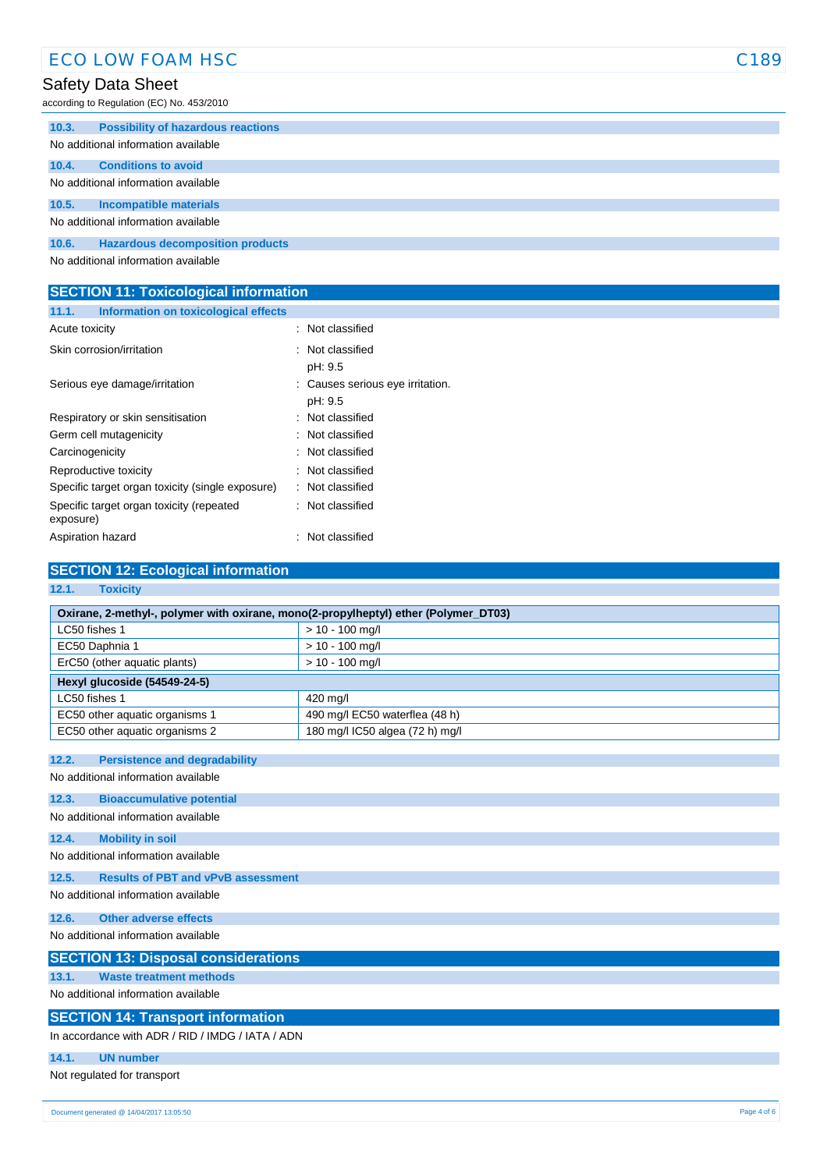according to Regulation (EC) No. 453/2010

| 10.3.                               | <b>Possibility of hazardous reactions</b> |  |
|-------------------------------------|-------------------------------------------|--|
|                                     | No additional information available       |  |
| 10.4.                               | <b>Conditions to avoid</b>                |  |
|                                     | No additional information available       |  |
| 10.5.                               | Incompatible materials                    |  |
| No additional information available |                                           |  |
| 10.6.                               | <b>Hazardous decomposition products</b>   |  |
|                                     | Alo additional information available      |  |

No additional information available

#### **SECTION 11: Toxicological information 11.1. Information on toxicological effects**

| Acute toxicity                                        | : Not classified                            |  |
|-------------------------------------------------------|---------------------------------------------|--|
| Skin corrosion/irritation                             | : Not classified<br>pH: 9.5                 |  |
| Serious eye damage/irritation                         | : Causes serious eye irritation.<br>pH: 9.5 |  |
| Respiratory or skin sensitisation                     | : Not classified                            |  |
| Germ cell mutagenicity                                | : Not classified                            |  |
| Carcinogenicity                                       | : Not classified                            |  |
| Reproductive toxicity                                 | : Not classified                            |  |
| Specific target organ toxicity (single exposure)      | : Not classified                            |  |
| Specific target organ toxicity (repeated<br>exposure) | : Not classified                            |  |
| Aspiration hazard                                     | : Not classified                            |  |
|                                                       |                                             |  |

| <b>SECTION 12: Ecological information</b>                                           |                                 |  |  |  |
|-------------------------------------------------------------------------------------|---------------------------------|--|--|--|
| 12.1.<br><b>Toxicity</b>                                                            |                                 |  |  |  |
| Oxirane, 2-methyl-, polymer with oxirane, mono(2-propylheptyl) ether (Polymer_DT03) |                                 |  |  |  |
| LC50 fishes 1                                                                       | $> 10 - 100$ mg/l               |  |  |  |
| EC50 Daphnia 1                                                                      | $> 10 - 100$ mg/l               |  |  |  |
| ErC50 (other aquatic plants)                                                        | $> 10 - 100$ mg/l               |  |  |  |
| Hexyl glucoside (54549-24-5)                                                        |                                 |  |  |  |
| LC50 fishes 1                                                                       | 420 mg/l                        |  |  |  |
| EC50 other aquatic organisms 1                                                      | 490 mg/l EC50 waterflea (48 h)  |  |  |  |
| EC50 other aquatic organisms 2                                                      | 180 mg/l IC50 algea (72 h) mg/l |  |  |  |
|                                                                                     |                                 |  |  |  |
| 12.2.<br><b>Persistence and degradability</b>                                       |                                 |  |  |  |
| No additional information available                                                 |                                 |  |  |  |
| 12.3.<br><b>Bioaccumulative potential</b>                                           |                                 |  |  |  |
| No additional information available                                                 |                                 |  |  |  |
| 12.4.<br><b>Mobility in soil</b>                                                    |                                 |  |  |  |
| No additional information available                                                 |                                 |  |  |  |
| <b>Results of PBT and vPvB assessment</b><br>12.5.                                  |                                 |  |  |  |
| No additional information available                                                 |                                 |  |  |  |
| <b>Other adverse effects</b><br>12.6.                                               |                                 |  |  |  |
| No additional information available                                                 |                                 |  |  |  |
| <b>SECTION 13: Disposal considerations</b>                                          |                                 |  |  |  |
| <b>Waste treatment methods</b><br>13.1.                                             |                                 |  |  |  |
| No additional information available                                                 |                                 |  |  |  |
| <b>SECTION 14: Transport information</b>                                            |                                 |  |  |  |
| In accordance with ADR / RID / IMDG / IATA / ADN                                    |                                 |  |  |  |
| 14.1.<br><b>UN number</b>                                                           |                                 |  |  |  |
| Not regulated for transport                                                         |                                 |  |  |  |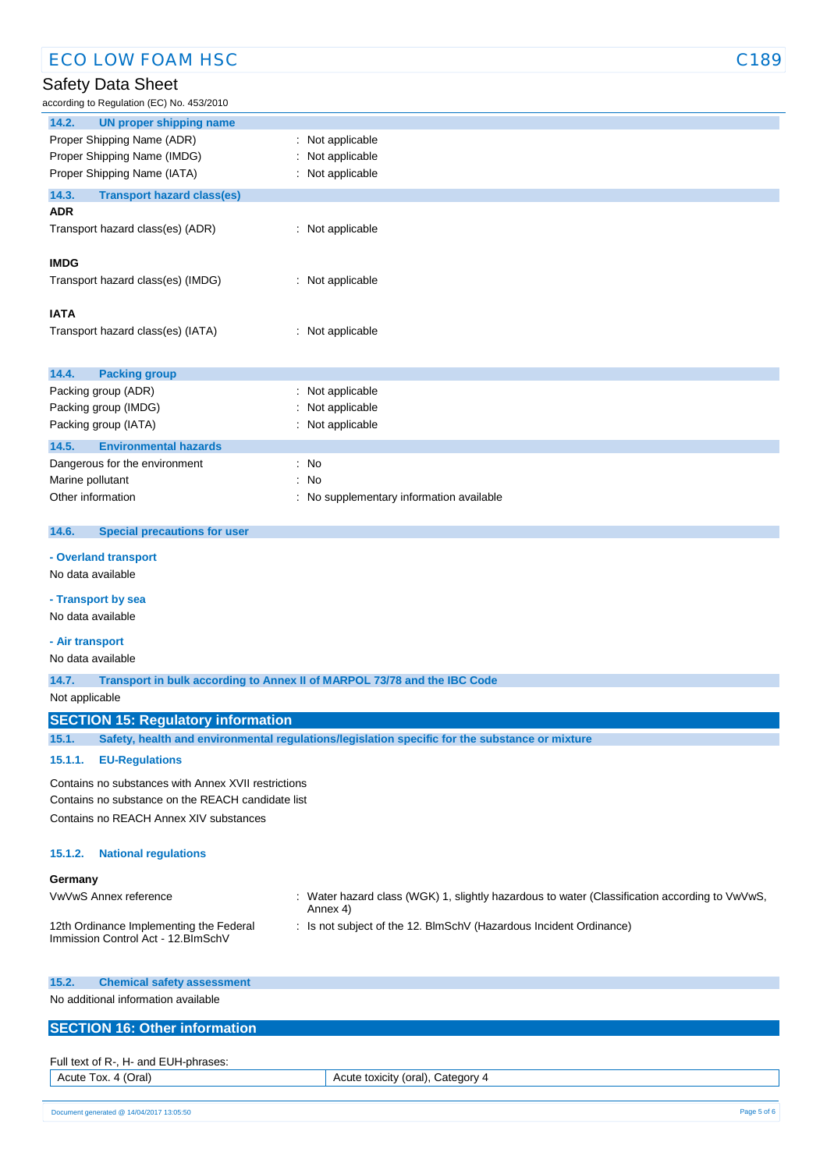according to Regulation (EC) No. 453/2010

| according to Regulation (EC) No. 453/2010                                                               |                                                                          |  |  |  |
|---------------------------------------------------------------------------------------------------------|--------------------------------------------------------------------------|--|--|--|
| 14.2.<br><b>UN proper shipping name</b>                                                                 |                                                                          |  |  |  |
| Proper Shipping Name (ADR)                                                                              | : Not applicable                                                         |  |  |  |
| Proper Shipping Name (IMDG)                                                                             | Not applicable                                                           |  |  |  |
| Proper Shipping Name (IATA)                                                                             | Not applicable                                                           |  |  |  |
| 14.3.<br><b>Transport hazard class(es)</b>                                                              |                                                                          |  |  |  |
| <b>ADR</b>                                                                                              |                                                                          |  |  |  |
| Transport hazard class(es) (ADR)                                                                        | : Not applicable                                                         |  |  |  |
| <b>IMDG</b>                                                                                             |                                                                          |  |  |  |
| Transport hazard class(es) (IMDG)                                                                       | : Not applicable                                                         |  |  |  |
|                                                                                                         |                                                                          |  |  |  |
| <b>IATA</b>                                                                                             |                                                                          |  |  |  |
| Transport hazard class(es) (IATA)                                                                       | : Not applicable                                                         |  |  |  |
|                                                                                                         |                                                                          |  |  |  |
| 14.4.<br><b>Packing group</b>                                                                           |                                                                          |  |  |  |
| Packing group (ADR)                                                                                     | Not applicable<br>t.                                                     |  |  |  |
| Packing group (IMDG)                                                                                    | Not applicable                                                           |  |  |  |
| Packing group (IATA)                                                                                    | Not applicable                                                           |  |  |  |
| 14.5.<br><b>Environmental hazards</b>                                                                   |                                                                          |  |  |  |
| Dangerous for the environment                                                                           | No<br>÷.                                                                 |  |  |  |
| Marine pollutant                                                                                        | No<br>÷                                                                  |  |  |  |
| Other information                                                                                       | No supplementary information available                                   |  |  |  |
|                                                                                                         |                                                                          |  |  |  |
| 14.6.<br><b>Special precautions for user</b>                                                            |                                                                          |  |  |  |
| - Overland transport                                                                                    |                                                                          |  |  |  |
| No data available                                                                                       |                                                                          |  |  |  |
| - Transport by sea                                                                                      |                                                                          |  |  |  |
| No data available                                                                                       |                                                                          |  |  |  |
| - Air transport                                                                                         |                                                                          |  |  |  |
| No data available                                                                                       |                                                                          |  |  |  |
| 14.7.                                                                                                   | Transport in bulk according to Annex II of MARPOL 73/78 and the IBC Code |  |  |  |
| Not applicable                                                                                          |                                                                          |  |  |  |
| <b>SECTION 15: Regulatory information</b>                                                               |                                                                          |  |  |  |
| 15.1.<br>Safety, health and environmental regulations/legislation specific for the substance or mixture |                                                                          |  |  |  |
| <b>EU-Regulations</b><br>15.1.1.                                                                        |                                                                          |  |  |  |

Contains no substances with Annex XVII restrictions

Contains no substance on the REACH candidate list

Contains no REACH Annex XIV substances

#### **15.1.2. National regulations**

#### **Germany**

| VwVwS Annex reference                   | : Water hazard class (WGK) 1, slightly hazardous to water (Classification according to VwVwS,<br>Annex 4) |
|-----------------------------------------|-----------------------------------------------------------------------------------------------------------|
| 12th Ordinance Implementing the Federal | : Is not subiect of the 12. BlmSchV (Hazardous Incident Ordinance)                                        |

No additional information available

Immission Control Act - 12.BImSchV

## **SECTION 16: Other information**

| Full text of R-, H- and EUH-phrases: |                                   |
|--------------------------------------|-----------------------------------|
| Acute Tox. 4 (Oral)                  | Acute toxicity (oral), Category 4 |
|                                      |                                   |

11/06/2015 EN (English) 5/6 Document generated @ 14/04/2017 13:05:50 Page 5 of 6